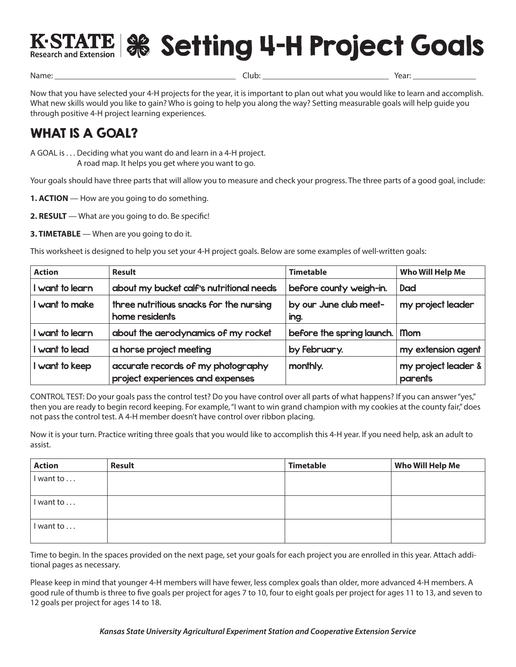

K-STATE | Setting 4-H Project Goals

Name: \_\_\_\_\_\_\_\_\_\_\_\_\_\_\_\_\_\_\_\_\_\_\_\_\_\_\_\_\_\_\_\_\_\_\_\_\_\_\_\_\_\_\_ Club: \_\_\_\_\_\_\_\_\_\_\_\_\_\_\_\_\_\_\_\_\_\_\_\_\_\_\_\_\_\_ Year: \_\_\_\_\_\_\_\_\_\_\_\_\_\_\_

Now that you have selected your 4-H projects for the year, it is important to plan out what you would like to learn and accomplish. What new skills would you like to gain? Who is going to help you along the way? Setting measurable goals will help guide you through positive 4-H project learning experiences.

## WHAT IS A GOAL?

A GOAL is . . . Deciding what you want do and learn in a 4-H project. A road map. It helps you get where you want to go.

Your goals should have three parts that will allow you to measure and check your progress. The three parts of a good goal, include:

- **1. ACTION** How are you going to do something.
- **2. RESULT** What are you going to do. Be specific!

**3. TIMETABLE** — When are you going to do it.

This worksheet is designed to help you set your 4-H project goals. Below are some examples of well-written goals:

| <b>Action</b>   | <b>Result</b>                                                          | <b>Timetable</b>               | Who Will Help Me               |
|-----------------|------------------------------------------------------------------------|--------------------------------|--------------------------------|
| I want to learn | about my bucket calf's nutritional needs<br>before county weigh-in.    |                                | Dad                            |
| I want to make  | three nutritious snacks for the nursing<br>home residents              | by our June club meet-<br>ing. | my project leader              |
| I want to learn | about the aerodynamics of my rocket                                    | before the spring launch.      | <b>Mom</b>                     |
| I want to lead  | a horse project meeting                                                | by February.                   | my extension agent             |
| I want to keep  | accurate records of my photography<br>project experiences and expenses | monthly.                       | my project leader &<br>parents |

CONTROL TEST: Do your goals pass the control test? Do you have control over all parts of what happens? If you can answer "yes," then you are ready to begin record keeping. For example, "I want to win grand champion with my cookies at the county fair," does not pass the control test. A 4-H member doesn't have control over ribbon placing.

Now it is your turn. Practice writing three goals that you would like to accomplish this 4-H year. If you need help, ask an adult to assist.

| <b>Action</b> | Result | <b>Timetable</b> | Who Will Help Me |
|---------------|--------|------------------|------------------|
| I want to     |        |                  |                  |
|               |        |                  |                  |
| I want to     |        |                  |                  |
|               |        |                  |                  |
| I want to     |        |                  |                  |
|               |        |                  |                  |

Time to begin. In the spaces provided on the next page, set your goals for each project you are enrolled in this year. Attach additional pages as necessary.

Please keep in mind that younger 4-H members will have fewer, less complex goals than older, more advanced 4-H members. A good rule of thumb is three to five goals per project for ages 7 to 10, four to eight goals per project for ages 11 to 13, and seven to 12 goals per project for ages 14 to 18.